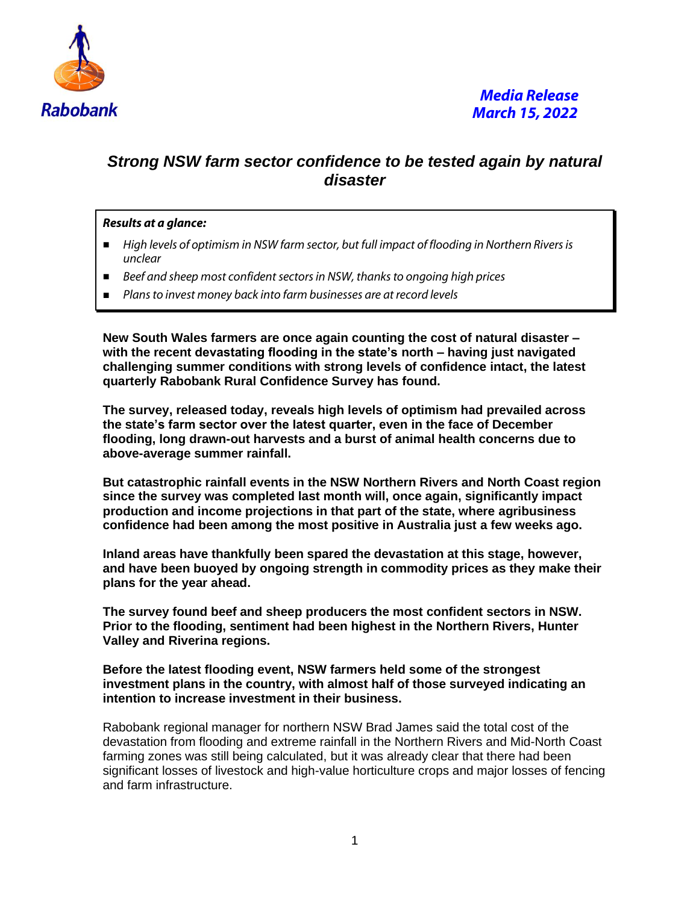

# *Strong NSW farm sector confidence to be tested again by natural disaster*

### *Results at a glance:*

- *High levels of optimism in NSW farm sector, but full impact of flooding in Northern Rivers is unclear*
- *Beef and sheep most confident sectors in NSW, thanks to ongoing high prices*
- *Plans to invest money back into farm businesses are at record levels*

**New South Wales farmers are once again counting the cost of natural disaster – with the recent devastating flooding in the state's north – having just navigated challenging summer conditions with strong levels of confidence intact, the latest quarterly Rabobank Rural Confidence Survey has found.**

**The survey, released today, reveals high levels of optimism had prevailed across the state's farm sector over the latest quarter, even in the face of December flooding, long drawn-out harvests and a burst of animal health concerns due to above-average summer rainfall.**

**But catastrophic rainfall events in the NSW Northern Rivers and North Coast region since the survey was completed last month will, once again, significantly impact production and income projections in that part of the state, where agribusiness confidence had been among the most positive in Australia just a few weeks ago.**

**Inland areas have thankfully been spared the devastation at this stage, however, and have been buoyed by ongoing strength in commodity prices as they make their plans for the year ahead.**

**The survey found beef and sheep producers the most confident sectors in NSW. Prior to the flooding, sentiment had been highest in the Northern Rivers, Hunter Valley and Riverina regions.**

**Before the latest flooding event, NSW farmers held some of the strongest investment plans in the country, with almost half of those surveyed indicating an intention to increase investment in their business.**

Rabobank regional manager for northern NSW Brad James said the total cost of the devastation from flooding and extreme rainfall in the Northern Rivers and Mid-North Coast farming zones was still being calculated, but it was already clear that there had been significant losses of livestock and high-value horticulture crops and major losses of fencing and farm infrastructure.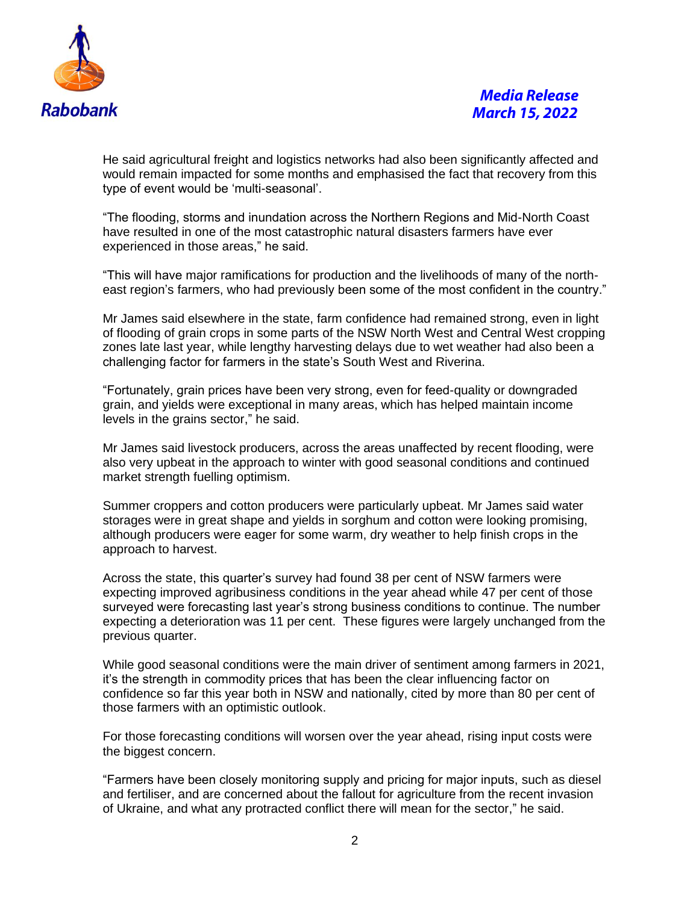

He said agricultural freight and logistics networks had also been significantly affected and would remain impacted for some months and emphasised the fact that recovery from this type of event would be 'multi-seasonal'.

"The flooding, storms and inundation across the Northern Regions and Mid-North Coast have resulted in one of the most catastrophic natural disasters farmers have ever experienced in those areas," he said.

"This will have major ramifications for production and the livelihoods of many of the northeast region's farmers, who had previously been some of the most confident in the country."

Mr James said elsewhere in the state, farm confidence had remained strong, even in light of flooding of grain crops in some parts of the NSW North West and Central West cropping zones late last year, while lengthy harvesting delays due to wet weather had also been a challenging factor for farmers in the state's South West and Riverina.

"Fortunately, grain prices have been very strong, even for feed-quality or downgraded grain, and yields were exceptional in many areas, which has helped maintain income levels in the grains sector," he said.

Mr James said livestock producers, across the areas unaffected by recent flooding, were also very upbeat in the approach to winter with good seasonal conditions and continued market strength fuelling optimism.

Summer croppers and cotton producers were particularly upbeat. Mr James said water storages were in great shape and yields in sorghum and cotton were looking promising, although producers were eager for some warm, dry weather to help finish crops in the approach to harvest.

Across the state, this quarter's survey had found 38 per cent of NSW farmers were expecting improved agribusiness conditions in the year ahead while 47 per cent of those surveyed were forecasting last year's strong business conditions to continue. The number expecting a deterioration was 11 per cent. These figures were largely unchanged from the previous quarter.

While good seasonal conditions were the main driver of sentiment among farmers in 2021, it's the strength in commodity prices that has been the clear influencing factor on confidence so far this year both in NSW and nationally, cited by more than 80 per cent of those farmers with an optimistic outlook.

For those forecasting conditions will worsen over the year ahead, rising input costs were the biggest concern.

"Farmers have been closely monitoring supply and pricing for major inputs, such as diesel and fertiliser, and are concerned about the fallout for agriculture from the recent invasion of Ukraine, and what any protracted conflict there will mean for the sector," he said.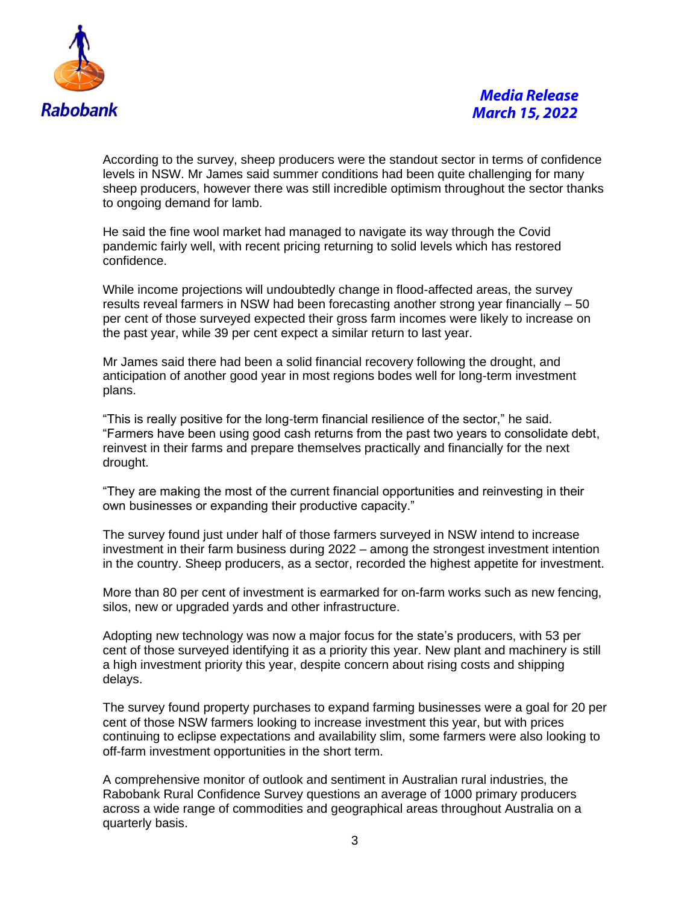

According to the survey, sheep producers were the standout sector in terms of confidence levels in NSW. Mr James said summer conditions had been quite challenging for many sheep producers, however there was still incredible optimism throughout the sector thanks to ongoing demand for lamb.

He said the fine wool market had managed to navigate its way through the Covid pandemic fairly well, with recent pricing returning to solid levels which has restored confidence.

While income projections will undoubtedly change in flood-affected areas, the survey results reveal farmers in NSW had been forecasting another strong year financially – 50 per cent of those surveyed expected their gross farm incomes were likely to increase on the past year, while 39 per cent expect a similar return to last year.

Mr James said there had been a solid financial recovery following the drought, and anticipation of another good year in most regions bodes well for long-term investment plans.

"This is really positive for the long-term financial resilience of the sector," he said. "Farmers have been using good cash returns from the past two years to consolidate debt, reinvest in their farms and prepare themselves practically and financially for the next drought.

"They are making the most of the current financial opportunities and reinvesting in their own businesses or expanding their productive capacity."

The survey found just under half of those farmers surveyed in NSW intend to increase investment in their farm business during 2022 – among the strongest investment intention in the country. Sheep producers, as a sector, recorded the highest appetite for investment.

More than 80 per cent of investment is earmarked for on-farm works such as new fencing, silos, new or upgraded yards and other infrastructure.

Adopting new technology was now a major focus for the state's producers, with 53 per cent of those surveyed identifying it as a priority this year. New plant and machinery is still a high investment priority this year, despite concern about rising costs and shipping delays.

The survey found property purchases to expand farming businesses were a goal for 20 per cent of those NSW farmers looking to increase investment this year, but with prices continuing to eclipse expectations and availability slim, some farmers were also looking to off-farm investment opportunities in the short term.

A comprehensive monitor of outlook and sentiment in Australian rural industries, the Rabobank Rural Confidence Survey questions an average of 1000 primary producers across a wide range of commodities and geographical areas throughout Australia on a quarterly basis.